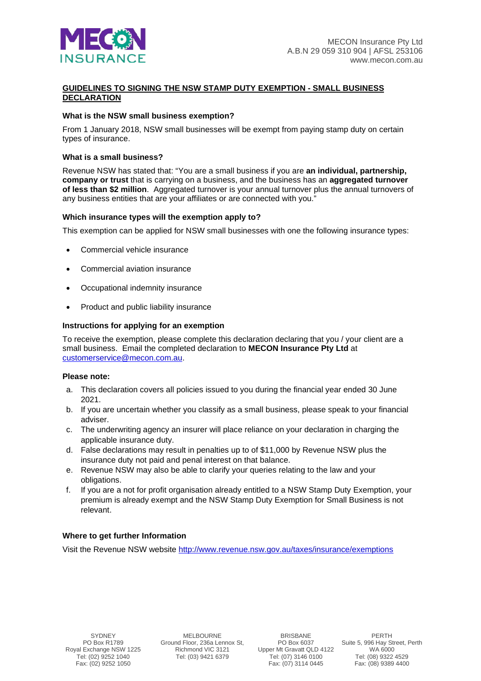

## **GUIDELINES TO SIGNING THE NSW STAMP DUTY EXEMPTION - SMALL BUSINESS DECLARATION**

### **What is the NSW small business exemption?**

From 1 January 2018, NSW small businesses will be exempt from paying stamp duty on certain types of insurance.

#### **What is a small business?**

Revenue NSW has stated that: "You are a small business if you are **an individual, partnership, company or trust** that is carrying on a business, and the business has an **aggregated turnover of less than \$2 million**. Aggregated turnover is your annual turnover plus the annual turnovers of any business entities that are your affiliates or are connected with you."

### **Which insurance types will the exemption apply to?**

This exemption can be applied for NSW small businesses with one the following insurance types:

- Commercial vehicle insurance
- Commercial aviation insurance
- Occupational indemnity insurance
- Product and public liability insurance

#### **Instructions for applying for an exemption**

To receive the exemption, please complete this declaration declaring that you / your client are a small business. Email the completed declaration to **MECON Insurance Pty Ltd** at [customerservice@mecon.com.au.](mailto:customerservice@mecon.com.au)

#### **Please note:**

- a. This declaration covers all policies issued to you during the financial year ended 30 June 2021.
- b. If you are uncertain whether you classify as a small business, please speak to your financial adviser.
- c. The underwriting agency an insurer will place reliance on your declaration in charging the applicable insurance duty.
- d. False declarations may result in penalties up to of \$11,000 by Revenue NSW plus the insurance duty not paid and penal interest on that balance.
- e. Revenue NSW may also be able to clarify your queries relating to the law and your obligations.
- f. If you are a not for profit organisation already entitled to a NSW Stamp Duty Exemption, your premium is already exempt and the NSW Stamp Duty Exemption for Small Business is not relevant.

## **Where to get further Information**

Visit the Revenue NSW website<http://www.revenue.nsw.gov.au/taxes/insurance/exemptions>

SYDNEY MELBOURNE BRISBANE PERTH Ground Floor, 236a Lennox St, Richmond VIC 3121 Tel: (03) 9421 6379

PO Box 6037 Upper Mt Gravatt QLD 4122 Tel: (07) 3146 0100 Fax: (07) 3114 0445